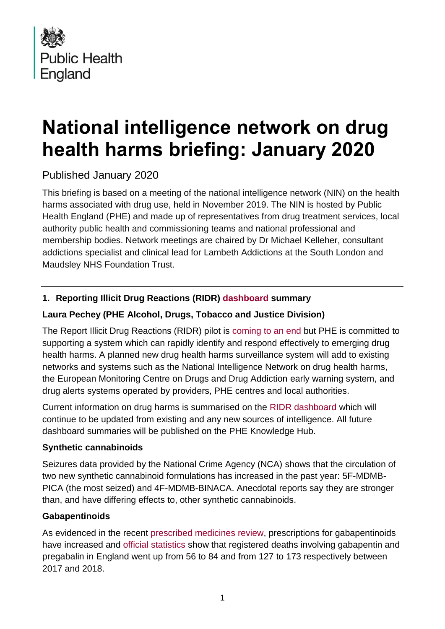

# **National intelligence network on drug health harms briefing: January 2020**

Published January 2020

This briefing is based on a meeting of the national intelligence network (NIN) on the health harms associated with drug use, held in November 2019. The NIN is hosted by Public Health England (PHE) and made up of representatives from drug treatment services, local authority public health and commissioning teams and national professional and membership bodies. Network meetings are chaired by Dr Michael Kelleher, consultant addictions specialist and clinical lead for Lambeth Addictions at the South London and Maudsley NHS Foundation Trust.

# **1. Reporting Illicit Drug Reactions (RIDR) [dashboard](https://report-illicit-drug-reaction.phe.gov.uk/latest-information/) summary**

# **Laura Pechey (PHE Alcohol, Drugs, Tobacco and Justice Division)**

The Report Illicit Drug Reactions (RIDR) pilot is [coming to an end](https://report-illicit-drug-reaction.phe.gov.uk/about-ridr/) but PHE is committed to supporting a system which can rapidly identify and respond effectively to emerging drug health harms. A planned new drug health harms surveillance system will add to existing networks and systems such as the National Intelligence Network on drug health harms, the European Monitoring Centre on Drugs and Drug Addiction early warning system, and drug alerts systems operated by providers, PHE centres and local authorities.

Current information on drug harms is summarised on the [RIDR dashboard](https://report-illicit-drug-reaction.phe.gov.uk/latest-information/) which will continue to be updated from existing and any new sources of intelligence. All future dashboard summaries will be published on the PHE Knowledge Hub.

## **Synthetic cannabinoids**

Seizures data provided by the National Crime Agency (NCA) shows that the circulation of two new synthetic cannabinoid formulations has increased in the past year: 5F-MDMB-PICA (the most seized) and 4F-MDMB-BINACA. Anecdotal reports say they are stronger than, and have differing effects to, other synthetic cannabinoids.

# **Gabapentinoids**

As evidenced in the recent [prescribed medicines review,](https://www.gov.uk/government/publications/prescribed-medicines-review-report) prescriptions for gabapentinoids have increased and [official statistics](https://www.ons.gov.uk/peoplepopulationandcommunity/birthsdeathsandmarriages/deaths/bulletins/deathsrelatedtodrugpoisoninginenglandandwales/2018registrations) show that registered deaths involving gabapentin and pregabalin in England went up from 56 to 84 and from 127 to 173 respectively between 2017 and 2018.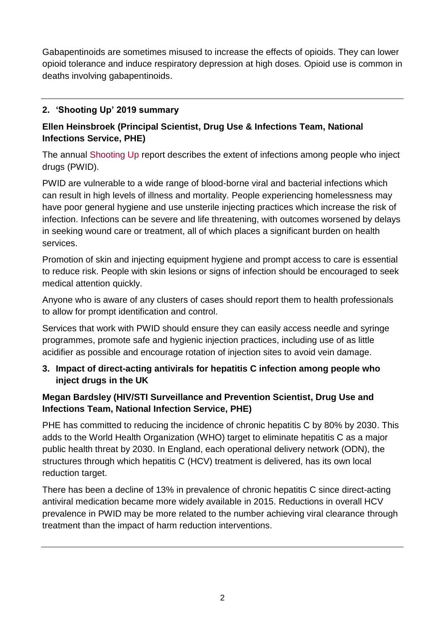Gabapentinoids are sometimes misused to increase the effects of opioids. They can lower opioid tolerance and induce respiratory depression at high doses. Opioid use is common in deaths involving gabapentinoids.

# **2. 'Shooting Up' 2019 summary**

# **Ellen Heinsbroek (Principal Scientist, Drug Use & Infections Team, National Infections Service, PHE)**

The annual [Shooting Up](https://www.gov.uk/government/publications/shooting-up-infections-among-people-who-inject-drugs-in-the-uk) report describes the extent of infections among people who inject drugs (PWID).

PWID are vulnerable to a wide range of blood-borne viral and bacterial infections which can result in high levels of illness and mortality. People experiencing homelessness may have poor general hygiene and use unsterile injecting practices which increase the risk of infection. Infections can be severe and life threatening, with outcomes worsened by delays in seeking wound care or treatment, all of which places a significant burden on health services.

Promotion of skin and injecting equipment hygiene and prompt access to care is essential to reduce risk. People with skin lesions or signs of infection should be encouraged to seek medical attention quickly.

Anyone who is aware of any clusters of cases should report them to health professionals to allow for prompt identification and control.

Services that work with PWID should ensure they can easily access needle and syringe programmes, promote safe and hygienic injection practices, including use of as little acidifier as possible and encourage rotation of injection sites to avoid vein damage.

## **3. Impact of direct-acting antivirals for hepatitis C infection among people who inject drugs in the UK**

# **Megan Bardsley (HIV/STI Surveillance and Prevention Scientist, Drug Use and Infections Team, National Infection Service, PHE)**

PHE has committed to reducing the incidence of chronic hepatitis C by 80% by 2030. This adds to the World Health Organization (WHO) target to eliminate hepatitis C as a major public health threat by 2030. In England, each operational delivery network (ODN), the structures through which hepatitis C (HCV) treatment is delivered, has its own local reduction target.

There has been a decline of 13% in prevalence of chronic hepatitis C since direct-acting antiviral medication became more widely available in 2015. Reductions in overall HCV prevalence in PWID may be more related to the number achieving viral clearance through treatment than the impact of harm reduction interventions.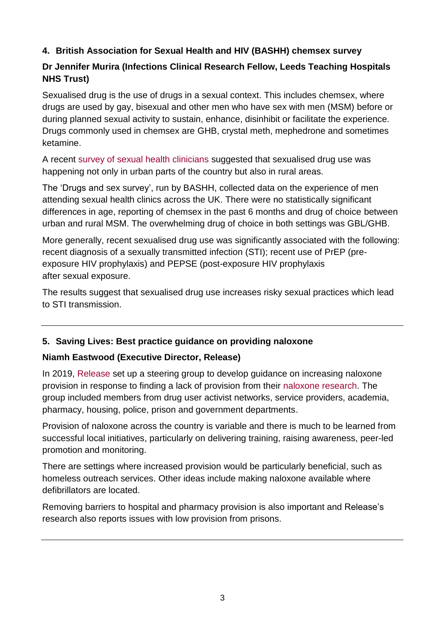## **4. British Association for Sexual Health and HIV (BASHH) chemsex survey**

# **Dr Jennifer Murira (Infections Clinical Research Fellow, Leeds Teaching Hospitals NHS Trust)**

Sexualised drug is the use of drugs in a sexual context. This includes chemsex, where drugs are used by gay, bisexual and other men who have sex with men (MSM) before or during planned sexual activity to sustain, enhance, disinhibit or facilitate the experience. Drugs commonly used in chemsex are GHB, crystal meth, mephedrone and sometimes ketamine.

A recent [survey of sexual health clinicians](https://www.ncbi.nlm.nih.gov/pubmed/29496326) suggested that sexualised drug use was happening not only in urban parts of the country but also in rural areas.

The 'Drugs and sex survey', run by BASHH, collected data on the experience of men attending sexual health clinics across the UK. There were no statistically significant differences in age, reporting of chemsex in the past 6 months and drug of choice between urban and rural MSM. The overwhelming drug of choice in both settings was GBL/GHB.

More generally, recent sexualised drug use was significantly associated with the following: recent diagnosis of a sexually transmitted infection (STI); recent use of PrEP (preexposure HIV prophylaxis) and PEPSE (post-exposure HIV prophylaxis after sexual exposure.

The results suggest that sexualised drug use increases risky sexual practices which lead to STI transmission.

## **5. Saving Lives: Best practice guidance on providing naloxone**

## **Niamh Eastwood (Executive Director, Release)**

In 2019, [Release](https://www.release.org.uk/) set up a steering group to develop guidance on increasing naloxone provision in response to finding a lack of provision from their [naloxone research.](https://www.release.org.uk/naloxone-2017-18) The group included members from drug user activist networks, service providers, academia, pharmacy, housing, police, prison and government departments.

Provision of naloxone across the country is variable and there is much to be learned from successful local initiatives, particularly on delivering training, raising awareness, peer-led promotion and monitoring.

There are settings where increased provision would be particularly beneficial, such as homeless outreach services. Other ideas include making naloxone available where defibrillators are located.

Removing barriers to hospital and pharmacy provision is also important and Release's research also reports issues with low provision from prisons.